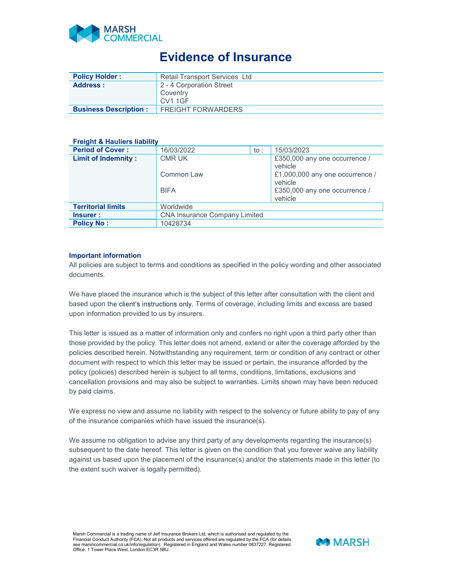

## Evidence of Insurance

| <b>Policy Holder:</b>        | <b>Retail Transport Services Ltd</b> |  |  |  |
|------------------------------|--------------------------------------|--|--|--|
| <b>Address:</b>              | 2 - 4 Corporation Street             |  |  |  |
|                              | Coventry                             |  |  |  |
|                              | <b>CV1 1GF</b>                       |  |  |  |
| <b>Business Description:</b> | <b>FREIGHT FORWARDERS</b>            |  |  |  |

## **Freight & Hauliers liability**

| <b>Period of Cover:</b>    | 16/03/2022                           | to : | 15/03/2023                      |  |
|----------------------------|--------------------------------------|------|---------------------------------|--|
| <b>Limit of Indemnity:</b> | <b>CMR UK</b>                        |      | £350,000 any one occurrence /   |  |
|                            |                                      |      | vehicle                         |  |
|                            | Common Law                           |      | £1,000,000 any one occurrence / |  |
|                            |                                      |      | vehicle                         |  |
|                            | <b>BIFA</b>                          |      | £350,000 any one occurrence /   |  |
|                            |                                      |      | vehicle                         |  |
| <b>Territorial limits</b>  | Worldwide                            |      |                                 |  |
| Insurer :                  | <b>CNA Insurance Company Limited</b> |      |                                 |  |
| <b>Policy No:</b>          | 10428734                             |      |                                 |  |

## Important information

All policies are subject to terms and conditions as specified in the policy wording and other associated documents.

We have placed the insurance which is the subject of this letter after consultation with the client and based upon the client's instructions only. Terms of coverage, including limits and excess are based upon information provided to us by insurers.

This letter is issued as a matter of information only and confers no right upon a third party other than those provided by the policy. This letter does not amend, extend or alter the coverage afforded by the policies described herein. Notwithstanding any requirement, term or condition of any contract or other document with respect to which this letter may be issued or pertain, the insurance afforded by the policy (policies) described herein is subject to all terms, conditions, limitations, exclusions and cancellation provisions and may also be subject to warranties. Limits shown may have been reduced by paid claims.

We express no view and assume no liability with respect to the solvency or future ability to pay of any of the insurance companies which have issued the insurance(s).

We assume no obligation to advise any third party of any developments regarding the insurance(s) subsequent to the date hereof. This letter is given on the condition that you forever waive any liability against us based upon the placement of the insurance(s) and/or the statements made in this letter (to the extent such waiver is legally permitted).

Marsh Commercial is a trading name of Jelf Insurance Brokers Ltd, which is authorised and regulated by the Financial Conduct Authority (FCA). Not all products and services offered are regulated by the FCA (for details  $\blacksquare$   $\blacksquare$   $\blacksquare$   $\blacksquare$  )  $\blacksquare$  )  $\blacksquare$  )  $\blacksquare$  )  $\blacksquare$  )  $\blacksquare$  )  $\blacksquare$  )  $\blacksquare$  )  $\blacksquare$  )  $\blacksquare$  ) Office: 1 Tower Place West, London EC3R 5BU.